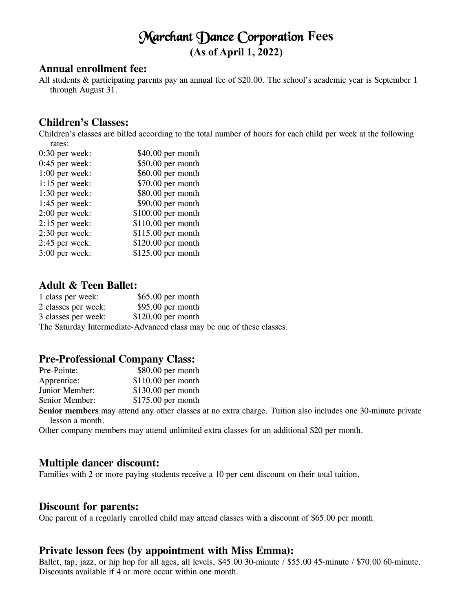# Marchant Dance Corporation **Fees (As of April 1, 2022)**

## **Annual enrollment fee:**

All students & participating parents pay an annual fee of \$20.00. The school's academic year is September 1 through August 31.

### **Children's Classes:**

Children's classes are billed according to the total number of hours for each child per week at the following rates:

| $0:30$ per week: | \$40.00 per month  |
|------------------|--------------------|
| $0:45$ per week: | \$50.00 per month  |
| $1:00$ per week: | \$60.00 per month  |
| $1:15$ per week: | $$70.00$ per month |
| $1:30$ per week: | \$80.00 per month  |
| $1:45$ per week: | \$90.00 per month  |
| $2:00$ per week: | \$100.00 per month |
| $2:15$ per week: | \$110.00 per month |
| $2:30$ per week: | \$115.00 per month |
| $2:45$ per week: | \$120.00 per month |
| $3:00$ per week: | \$125.00 per month |
|                  |                    |

#### **Adult & Teen Ballet:**

1 class per week:  $$65.00$  per month 2 classes per week: \$95.00 per month 3 classes per week: \$120.00 per month The Saturday Intermediate-Advanced class may be one of these classes.

#### **Pre-Professional Company Class:**

| Pre-Pointe:    | $$80.00$ per month  |
|----------------|---------------------|
| Apprentice:    | $$110.00$ per month |
| Junior Member: | $$130.00$ per month |
| Senior Member: | $$175.00$ per month |

**Senior members** may attend any other classes at no extra charge. Tuition also includes one 30-minute private lesson a month.

Other company members may attend unlimited extra classes for an additional \$20 per month.

#### **Multiple dancer discount:**

Families with 2 or more paying students receive a 10 per cent discount on their total tuition.

#### **Discount for parents:**

One parent of a regularly enrolled child may attend classes with a discount of \$65.00 per month

#### **Private lesson fees (by appointment with Miss Emma):**

Ballet, tap, jazz, or hip hop for all ages, all levels, \$45.00 30-minute / \$55.00 45-minute / \$70.00 60-minute. Discounts available if 4 or more occur within one month.